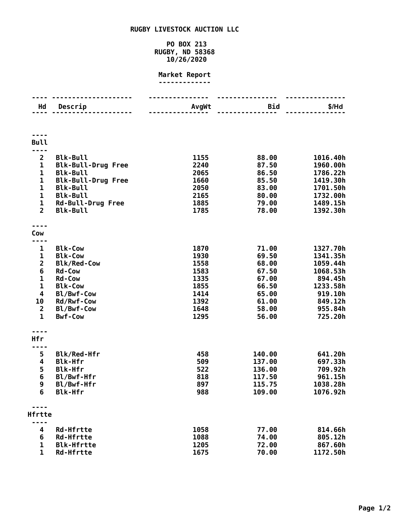## **RUGBY LIVESTOCK AUCTION LLC**

## **PO BOX 213 RUGBY, ND 58368 10/26/2020**

## **Market Report -------------**

| Hd                          | Descrip                                      | AvgWt        | <b>Bid</b>     | \$/Hd                |
|-----------------------------|----------------------------------------------|--------------|----------------|----------------------|
|                             |                                              |              |                |                      |
|                             |                                              |              |                |                      |
|                             |                                              |              |                |                      |
|                             |                                              |              |                |                      |
| <b>Bull</b>                 |                                              |              |                |                      |
|                             |                                              |              |                |                      |
| $\overline{2}$              | <b>Blk-Bull</b>                              | 1155         | 88.00          | 1016.40h             |
| $\mathbf 1$<br>$\mathbf{1}$ | <b>Blk-Bull-Drug Free</b><br><b>Blk-Bull</b> | 2240<br>2065 | 87.50          | 1960.00h<br>1786.22h |
| $\mathbf 1$                 |                                              | 1660         | 86.50<br>85.50 | 1419.30h             |
| $\mathbf{1}$                | <b>Blk-Bull-Drug Free</b><br><b>Blk-Bull</b> | 2050         | 83.00          | 1701.50h             |
| $\mathbf{1}$                | <b>Blk-Bull</b>                              | 2165         | 80.00          | 1732.00h             |
| 1                           | <b>Rd-Bull-Drug Free</b>                     | 1885         | 79.00          | 1489.15h             |
| $\overline{2}$              | <b>Blk-Bull</b>                              | 1785         | 78.00          | 1392.30h             |
|                             |                                              |              |                |                      |
|                             |                                              |              |                |                      |
| Cow                         |                                              |              |                |                      |
| ----                        |                                              |              |                |                      |
| 1                           | <b>Blk-Cow</b>                               | 1870         | 71.00          | 1327.70h             |
| 1                           | <b>Blk-Cow</b>                               | 1930         | 69.50          | 1341.35h             |
| $\overline{\mathbf{c}}$     | <b>Blk/Red-Cow</b>                           | 1558         | 68.00          | 1059.44h             |
| 6                           | <b>Rd-Cow</b>                                | 1583         | 67.50          | 1068.53h             |
| $\mathbf 1$                 | <b>Rd-Cow</b>                                | 1335         | 67.00          | 894.45h              |
| $\mathbf 1$                 | <b>Blk-Cow</b>                               | 1855         | 66.50          | 1233.58h             |
| 4                           | Bl/Bwf-Cow                                   | 1414         | 65.00          | 919.10h              |
| 10                          | Rd/Rwf-Cow                                   | 1392         | 61.00          | 849.12h              |
| $\overline{2}$              | Bl/Bwf-Cow                                   | 1648         | 58.00          | 955.84h              |
| $\mathbf{1}$                | <b>Bwf-Cow</b>                               | 1295         | 56.00          | 725.20h              |
|                             |                                              |              |                |                      |
|                             |                                              |              |                |                      |
| <b>Hfr</b><br>----          |                                              |              |                |                      |
| 5                           | <b>Blk/Red-Hfr</b>                           | 458          | 140.00         | 641.20h              |
| 4                           | <b>Blk-Hfr</b>                               | 509          | 137.00         | 697.33h              |
| 5                           | <b>Blk-Hfr</b>                               | 522          | 136.00         | 709.92h              |
| 6                           | Bl/Bwf-Hfr                                   | 818          | 117.50         | 961.15h              |
| 9                           | Bl/Bwf-Hfr                                   | 897          | 115.75         | 1038.28h             |
| 6                           | <b>Blk-Hfr</b>                               | 988          | 109.00         | 1076.92h             |
|                             |                                              |              |                |                      |
|                             |                                              |              |                |                      |
| Hfrtte                      |                                              |              |                |                      |
|                             | <b>Rd-Hfrtte</b>                             | 1058         | 77.00          | 814.66h              |
| 4<br>6                      | <b>Rd-Hfrtte</b>                             | 1088         | 74.00          | 805.12h              |
| 1                           | <b>Blk-Hfrtte</b>                            | 1205         | 72.00          | 867.60h              |
| 1                           | <b>Rd-Hfrtte</b>                             | 1675         | 70.00          | 1172.50h             |
|                             |                                              |              |                |                      |